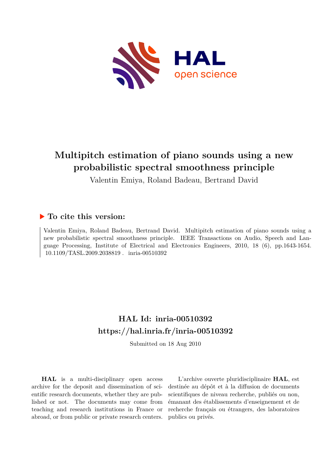

## **Multipitch estimation of piano sounds using a new probabilistic spectral smoothness principle**

Valentin Emiya, Roland Badeau, Bertrand David

### **To cite this version:**

Valentin Emiya, Roland Badeau, Bertrand David. Multipitch estimation of piano sounds using a new probabilistic spectral smoothness principle. IEEE Transactions on Audio, Speech and Language Processing, Institute of Electrical and Electronics Engineers, 2010, 18 (6), pp.1643-1654. 10.1109/TASL.2009.2038819. inria-00510392

## **HAL Id: inria-00510392 <https://hal.inria.fr/inria-00510392>**

Submitted on 18 Aug 2010

**HAL** is a multi-disciplinary open access archive for the deposit and dissemination of scientific research documents, whether they are published or not. The documents may come from teaching and research institutions in France or abroad, or from public or private research centers.

L'archive ouverte pluridisciplinaire **HAL**, est destinée au dépôt et à la diffusion de documents scientifiques de niveau recherche, publiés ou non, émanant des établissements d'enseignement et de recherche français ou étrangers, des laboratoires publics ou privés.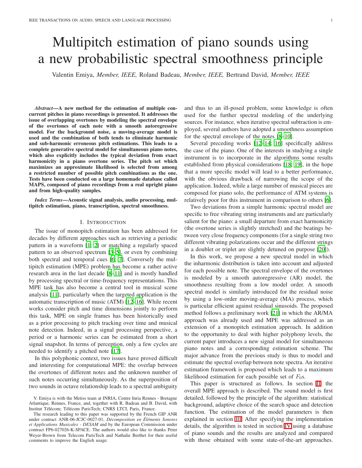# Multipitch estimation of piano sounds using a new probabilistic spectral smoothness principle

Valentin Emiya, *Member, IEEE,* Roland Badeau, *Member, IEEE,* Bertrand David, *Member, IEEE*

*Abstract***—A new method for the estimation of multiple concurrent pitches in piano recordings is presented. It addresses the issue of overlapping overtones by modeling the spectral envelope of the overtones of each note with a smooth autoregressive model. For the background noise, a moving-average model is used and the combination of both tends to eliminate harmonic and sub-harmonic erroneous pitch estimations. This leads to a complete generative spectral model for simultaneous piano notes, which also explicitly includes the typical deviation from exact harmonicity in a piano overtone series. The pitch set which maximizes an approximate likelihood is selected from among a restricted number of possible pitch combinations as the one. Tests have been conducted on a large homemade database called MAPS, composed of piano recordings from a real upright piano and from high-quality samples.**

*Index Terms***—Acoustic signal analysis, audio processing, multipitch estimation, piano, transcription, spectral smoothness.**

#### I. INTRODUCTION

The issue of monopitch estimation has been addressed for decades by different approaches such as retrieving a periodic pattern in a waveform [\[1;](#page-11-0) [2](#page-11-1)] or matching a regularly spaced pattern to an observed spectrum [\[3](#page-11-2)[–5](#page-11-3)], or even by combining both spectral and temporal cues [\[6](#page-11-4); [7](#page-11-5)]. Conversely the multipitch estimation (MPE) problem has become a rather active research area in the last decade [\[8](#page-11-6)[–11\]](#page-11-7) and is mostly handled by processing spectral or time-frequency representations. This MPE task has also become a central tool in musical scene analysis [\[11\]](#page-11-7), particularly when the targeted application is the automatic transcription of music (ATM) [\[12](#page-11-8)[–16](#page-11-9)]. While recent works consider pitch and time dimensions jointly to perform this task, MPE on single frames has been historically used as a prior processing to pitch tracking over time and musical note detection. Indeed, in a signal processing perspective, a period or a harmonic series can be estimated from a short signal snapshot. In terms of perception, only a few cycles are needed to identify a pitched note [\[17\]](#page-11-10).

In this polyphonic context, two issues have proved difficult and interesting for computational MPE: the overlap between the overtones of different notes and the unknown number of such notes occurring simultaneously. As the superposition of two sounds in octave relationship leads to a spectral ambiguity

and thus to an ill-posed problem, some knowledge is often used for the further spectral modeling of the underlying sources. For instance, when iterative spectral subtraction is employed, several authors have adopted a smoothness assumption for the spectral envelope of the notes [\[8](#page-11-6)[–10\]](#page-11-11).

Several preceding works [\[12](#page-11-8)[–14;](#page-11-12) [16\]](#page-11-9) specifically address the case of the piano. One of the interests in studying a single instrument is to incorporate in the algorithms some results established from physical considerations [\[18;](#page-11-13) [19](#page-12-0)], in the hope that a more specific model will lead to a better performance, with the obvious drawback of narrowing the scope of the application. Indeed, while a large number of musical pieces are composed for piano solo, the performance of ATM systems is relatively poor for this instrument in comparison to others [\[6](#page-11-4)].

Two deviations from a simple harmonic spectral model are specific to free vibrating string instruments and are particularly salient for the piano: a small departure from exact harmonicity (the overtone series is slightly stretched) and the beatings between very close frequency components (for a single string two different vibrating polarizations occur and the different strings in a doublet or triplet are slightly detuned on purpose [\[20\]](#page-12-1)).

In this work, we propose a new spectral model in which the inharmonic distribution is taken into account and adjusted for each possible note. The spectral envelope of the overtones is modeled by a smooth autoregressive (AR) model, the smoothness resulting from a low model order. A smooth spectral model is similarly introduced for the residual noise by using a low-order moving-average (MA) process, which is particular efficient against residual sinusoids. The proposed method follows a preliminary work [\[21\]](#page-12-2) in which the AR/MA approach was already used and MPE was addressed as an extension of a monopitch estimation approach. In addition to the opportunity to deal with higher polyphony levels, the current paper introduces a new signal model for simultaneous piano notes and a corresponding estimation scheme. The major advance from the previous study is thus to model and estimate the spectral overlap between note spectra. An iterative estimation framework is proposed which leads to a maximum likelihood estimation for each possible set of  $F_0$ s.

This paper is structured as follows. In section [II,](#page-2-0) the overall MPE approach is described. The sound model is first detailed, followed by the principle of the algorithm: statistical background, adaptive choice of the search space and detection function. The estimation of the model parameters is then explained in section [III.](#page-3-0) After specifying the implementation details, the algorithm is tested in section [IV](#page-7-0) using a database of piano sounds and the results are analyzed and compared with those obtained with some state-of-the-art approaches.

V. Emiya is with the Metiss team at INRIA, Centre Inria Rennes - Bretagne Atlantique, Rennes, France, and, together with R. Badeau and B. David, with Institut Télécom; Télécom ParisTech; CNRS LTCI, Paris, France.

The research leading to this paper was supported by the French GIP ANR under contract ANR-06-JCJC-0027-01, *Décomposition en Éléments Sonores et Applications Musicales - DESAM* and by the European Commission under contract FP6-027026-K-SPACE. The authors would also like to thanks Peter Weyer-Brown from Telecom ParisTech and Nathalie Berthet for their useful comments to improve the English usage.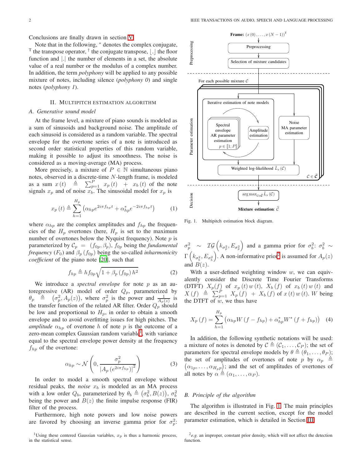Conclusions are finally drawn in section [V.](#page-9-0)

Note that in the following,  $*$  denotes the complex conjugate, <sup>T</sup> the transpose operator,  $\dagger$  the conjugate transpose, [.] the floor function and |.| the number of elements in a set, the absolute value of a real number or the modulus of a complex number. In addition, the term *polyphony* will be applied to any possible mixture of notes, including silence (*polyphony 0*) and single notes (*polyphony 1*).

#### II. MULTIPITCH ESTIMATION ALGORITHM

#### <span id="page-2-0"></span>*A. Generative sound model*

At the frame level, a mixture of piano sounds is modeled as a sum of sinusoids and background noise. The amplitude of each sinusoid is considered as a random variable. The spectral envelope for the overtone series of a note is introduced as second order statistical properties of this random variable, making it possible to adjust its smoothness. The noise is considered as a moving-average (MA) process.

More precisely, a mixture of  $P \in \mathbb{N}$  simultaneous piano notes, observed in a discrete-time N-length frame, is modeled as a sum  $x(t) \triangleq \sum_{p=1}^{P} x_p(t) + x_b(t)$  of the note signals  $x_p$  and of noise  $x_b$ . The sinusoidal model for  $x_p$  is

$$
x_p\left(t\right) \stackrel{\Delta}{=} \sum_{h=1}^{H_p} \left(\alpha_{hp} e^{2i\pi f_{hp}t} + \alpha_{hp}^* e^{-2i\pi f_{hp}t}\right) \tag{1}
$$

where  $\alpha_{hp}$  are the complex amplitudes and  $f_{hp}$  the frequencies of the  $H_p$  overtones (here,  $H_p$  is set to the maximum number of overtones below the Nyquist frequency). Note  $p$  is parameterized by  $C_p = (f_{0p}, \beta_p)$ ,  $f_{0p}$  being the *fundamental frequency* ( $F_0$ ) and  $\beta_p$  ( $f_{0p}$ ) being the so-called *inharmonicity coefficient* of the piano note [\[20\]](#page-12-1), such that

$$
f_{hp} \triangleq h f_{0p} \sqrt{1 + \beta_p \left(f_{0p}\right) h^2} \tag{2}
$$

We introduce a *spectral envelope* for note p as an autoregressive (AR) model of order  $Q_p$ , parameterized by  $\theta_p \triangleq (\sigma_p^2, A_p(z)),$  where  $\sigma_p^2$  is the power and  $\frac{1}{A_p(z)}$  is the transfer function of the related AR filter. Order  $Q_p$  should be low and proportional to  $H_p$ , in order to obtain a smooth envelope and to avoid overfitting issues for high pitches. The *amplitude*  $\alpha_{hp}$  of overtone h of note p is the outcome of a zero-mean complex Gaussian random variable<sup>[1](#page-2-1)</sup>, with variance equal to the spectral envelope power density at the frequency  $f_{hp}$  of the overtone:

$$
\alpha_{hp} \sim \mathcal{N}\left(0, \frac{\sigma_p^2}{\left|A_p \left(e^{2i\pi f_{hp}}\right)\right|^2}\right) \tag{3}
$$

In order to model a smooth spectral envelope without residual peaks, the *noise*  $x_b$  is modeled as an MA process with a low order  $Q_b$ , parameterized by  $\theta_b \triangleq (\sigma_b^2, B(z))$ ,  $\sigma_b^2$ being the power and  $B(z)$  the finite impulse response (FIR) filter of the process.

Furthermore, high note powers and low noise powers are favored by choosing an inverse gamma prior for  $\sigma_p^2$ .



<span id="page-2-3"></span>Fig. 1. Multipitch estimation block diagram.

 $\sigma_p^2 \sim \mathcal{IG}\left(k_{\sigma_p^2}, E_{\sigma_p^2}\right)$ ) and a gamma prior for  $\sigma_b^2$ :  $\sigma_b^2 \sim$  $\Gamma\left(k_{\sigma_b^2},E_{\sigma_b^2}\right)$ ). A non-informative prior<sup>[2](#page-2-2)</sup> is assumed for  $A_p(z)$ and  $B(z)$ .

With a user-defined weighting window  $w$ , we can equivalently consider the Discrete Time Fourier Transforms (DTFT)  $X_p(f)$  of  $x_p(t)w(t)$ ,  $X_b(f)$  of  $x_b(t)w(t)$  and  $X(f) \triangleq \sum_{p=1}^{P} X_p(f) + X_b(f)$  of  $x(t) \, w(t)$ . W being the DTFT of  $w$ , we thus have

$$
X_{p}(f) = \sum_{h=1}^{H_{p}} \left( \alpha_{hp} W(f - f_{hp}) + \alpha_{hp}^{*} W^{*} (f + f_{hp}) \right)
$$
 (4)

<span id="page-2-4"></span>In addition, the following synthetic notations will be used: a mixture of notes is denoted by  $\mathcal{C} \triangleq (\mathcal{C}_1, \ldots, \mathcal{C}_P)$ ; the set of parameters for spectral envelope models by  $\theta \triangleq (\theta_1, \dots, \theta_P);$ the set of amplitudes of overtones of note p by  $\alpha_p \triangleq$  $(\alpha_{1p}, \ldots, \alpha_{H_p p})$ ; and the set of amplitudes of overtones of all notes by  $\alpha \triangleq (\alpha_1, \ldots, \alpha_P)$ .

#### <span id="page-2-5"></span>*B. Principle of the algorithm*

The algorithm is illustrated in Fig. [1.](#page-2-3) The main principles are described in the current section, except for the model parameter estimation, which is detailed in Section [III.](#page-3-0)

<span id="page-2-1"></span><sup>&</sup>lt;sup>1</sup>Using these centered Gaussian variables,  $x_p$  is thus a harmonic process, in the statistical sense.

<span id="page-2-2"></span><sup>2</sup> *e.g.* an improper, constant prior density, which will not affect the detection function.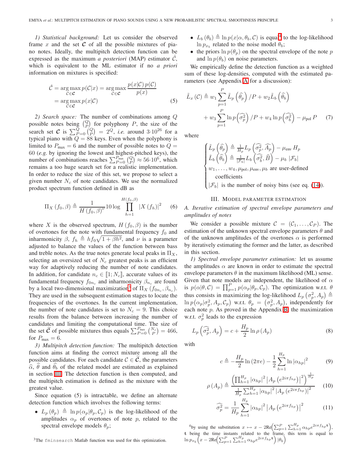*1) Statistical background:* Let us consider the observed frame x and the set  $\mathcal C$  of all the possible mixtures of piano notes. Ideally, the multipitch detection function can be expressed as the maximum *a posteriori* (MAP) estimator  $C$ , which is equivalent to the ML estimator if no *a priori* information on mixtures is specified:

$$
\hat{\mathcal{C}} = \underset{\mathcal{C} \in \mathcal{C}}{\arg \max} p(\mathcal{C}|x) = \underset{\mathcal{C} \in \mathcal{C}}{\arg \max} \frac{p(x|\mathcal{C}) p(\mathcal{C})}{p(x)}
$$
\n
$$
= \underset{\mathcal{C} \in \mathcal{C}}{\arg \max} p(x|\mathcal{C}) \tag{5}
$$

*2) Search space:* The number of combinations among Q possible notes being  $\begin{pmatrix} Q \\ P \end{pmatrix}$  for polyphony P, the size of the search set C is  $\sum_{P=0}^{Q} {Q \choose P} = 2^Q$ , *i.e.* around  $3 \cdot 10^{26}$  for a typical piano with  $Q = 88$  keys. Even when the polyphony is limited to  $P_{\text{max}} = 6$  and the number of possible notes to  $Q =$ 60 (*e.g.* by ignoring the lowest and highest-pitched keys), the number of combinations reaches  $\sum_{P=0}^{P_{\text{max}}} {Q \choose P} \approx 56.10^6$ , which remains a too huge search set for a realistic implementation. In order to reduce the size of this set, we propose to select a given number  $N_c$  of note candidates. We use the normalized product spectrum function defined in dB as

$$
\Pi_X(f_0, \beta) \triangleq \frac{1}{H(f_0, \beta)^{\nu}} 10 \log \prod_{h=1}^{H(f_0, \beta)} |X(f_h)|^2 \quad (6)
$$

where X is the observed spectrum,  $H(f_0, \beta)$  is the number of overtones for the note with fundamental frequency  $f_0$  and inharmonicity  $\beta$ ,  $f_h \triangleq hf_0\sqrt{1 + \beta h^2}$ , and  $\nu$  is a parameter adjusted to balance the values of the function between bass and treble notes. As the true notes generate local peaks in  $\Pi_X$ , selecting an oversized set of  $N_c$  greatest peaks is an efficient way for adaptively reducing the number of note candidates. In addition, for candidate  $n_c \in [1; N_c]$ , accurate values of its fundamental frequency  $f_{0n_c}$  and inharmonicity  $\beta_{n_c}$  are found by a local two-dimensional maximization<sup>[3](#page-3-1)</sup> of  $\Pi_X$  ( $f_{0n_c}, \beta_{n_c}$ ). They are used in the subsequent estimation stages to locate the frequencies of the overtones. In the current implementation, the number of note candidates is set to  $N_c = 9$ . This choice results from the balance between increasing the number of candidates and limiting the computational time. The size of the set  $\tilde{C}$  of possible mixtures thus equals  $\sum_{P=0}^{P_{\text{max}}} {N_c \choose P} = 466$ , for  $P_{\text{max}} = 6$ .

*3) Multipitch detection function:* The multipitch detection function aims at finding the correct mixture among all the possible candidates. For each candidate  $C \in \mathcal{C}$ , the parameters  $\hat{\alpha}$ ,  $\hat{\theta}$  and  $\hat{\theta}_b$  of the related model are estimated as explained in section [III.](#page-3-0) The detection function is then computed, and the multipitch estimation is defined as the mixture with the greatest value.

Since equation (5) is intractable, we define an alternate detection function which involves the following terms:

•  $L_p(\theta_p) \triangleq \ln p(\alpha_p|\theta_p, C_p)$  is the log-likelihood of the amplitudes  $\alpha_p$  of overtones of note p, related to the spectral envelope models  $\theta_p$ ;

- $L_b(\theta_b) \triangleq \ln p(x|\alpha, \theta_b, C)$  is equal<sup>[4](#page-3-2)</sup> to the log-likelihood  $\ln p_{x_b}$  related to the noise model  $\theta_b$ ;
- the priors  $\ln p(\theta_p)$  on the spectral envelope of the note p and  $\ln p(\theta_b)$  on noise parameters.

We empirically define the detection function as a weighted sum of these log-densities, computed with the estimated parameters (see Appendix [A](#page-9-1) for a discussion):

<span id="page-3-6"></span>
$$
\tilde{L}_x(\mathcal{C}) \triangleq w_1 \sum_{p=1}^P \tilde{L}_p\left(\widehat{\theta}_p\right) / P + w_2 \tilde{L}_b\left(\widehat{\theta}_b\right) \n+ w_3 \sum_{p=1}^P \ln p\left(\widehat{\sigma}_p^2\right) / P + w_4 \ln p\left(\widehat{\sigma}_b^2\right) - \mu_{\text{pol}} P \tag{7}
$$

where

<span id="page-3-5"></span>
$$
\begin{cases}\n\tilde{L}_p\left(\widehat{\theta}_p\right) \triangleq \frac{1}{H_p} L_p\left(\widehat{\sigma}_p^2, \widehat{A}_p\right) - \mu_{env} H_p \\
\tilde{L}_b\left(\widehat{\theta}_b\right) \triangleq \frac{1}{|\mathcal{F}_b|} L_b\left(\widehat{\sigma}_b^2, \widehat{B}\right) - \mu_b |\mathcal{F}_b| \\
w_1, \dots, w_4, \mu_{\text{pol}}, \mu_{env}, \mu_b \text{ are user-defined coefficients} \\
|\mathcal{F}_b| \text{ is the number of noisy bins (see eq. (14)).\n\end{cases}
$$

#### III. MODEL PARAMETER ESTIMATION

<span id="page-3-0"></span>*A. Iterative estimation of spectral envelope parameters and amplitudes of notes*

We consider a possible mixture  $\mathcal{C} = (\mathcal{C}_1, \dots, \mathcal{C}_P)$ . The estimation of the unknown spectral envelope parameters  $\theta$  and of the unknown amplitudes of the overtones  $\alpha$  is performed by iteratively estimating the former and the latter, as described in this section.

*1) Spectral envelope parameter estimation:* let us assume the amplitudes  $\alpha$  are known in order to estimate the spectral envelope parameters  $\theta$  in the maximum likelihood (ML) sense. Given that note models are independent, the likelihood of  $\alpha$ is  $p(\alpha|\theta, C) = \prod_{p=1}^{P} p(\alpha_p|\theta_p, C_p)$ . The optimization w.r.t.  $\theta$ thus consists in maximizing the log-likelihood  $L_p(\sigma_p^2, A_p) \triangleq$  $\ln p\left(\alpha_p|\sigma_p^2,A_p,\mathcal{C}_p\right)$  w.r.t.  $\theta_p = \left(\sigma_p^2,A_p\right)$ , independently for each note  $p$ . As proved in the Appendix [B,](#page-10-0) the maximization w.r.t.  $\sigma_p^2$  leads to the expression

$$
L_p\left(\widehat{\sigma_p^2}, A_p\right) = c + \frac{H_p}{2} \ln \rho\left(A_p\right) \tag{8}
$$

with

<span id="page-3-4"></span>
$$
c \triangleq -\frac{H_p}{2} \ln \left( 2\pi e \right) - \frac{1}{2} \sum_{h=1}^{H_p} \ln |\alpha_{hp}|^2 \tag{9}
$$

$$
\rho(A_p) \triangleq \frac{\left(\prod_{h=1}^{H_p} |\alpha_{hp}|^2 |A_p (e^{2i\pi f_{hp}})|^2\right)^{\frac{1}{H_p}}}{\frac{1}{H_p} \sum_{h=1}^{H_p} |\alpha_{hp}|^2 |A_p (e^{2i\pi f_{hp}})|^2}
$$
(10)

<span id="page-3-3"></span>
$$
\widehat{\sigma_p^2} = \frac{1}{H_p} \sum_{h=1}^{H_p} |\alpha_{hp}|^2 |A_p (e^{2i\pi f_{hp}})|^2
$$
 (11)

<span id="page-3-2"></span><sup>4</sup>by using the substitution  $x \mapsto x - 2\text{Re}\Big(\sum_{p=1}^P\sum_{h=1}^{H_p} \alpha_{hp}e^{2i\pi f_{hp}\mathbf{t}}\Big),$ t being the time instants related to the frame, this term is equal to  $\ln p_{x_b} (x - 2\text{Re}(\sum_{p=1}^P \sum_{h=1}^{H_p} \alpha_{hp} e^{2i\pi f_{hp} t}) |\theta_b)$ 

<span id="page-3-1"></span><sup>&</sup>lt;sup>3</sup>The fminsearch Matlab function was used for this optimization.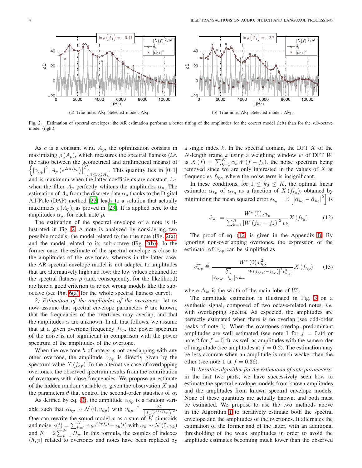<span id="page-4-1"></span>

<span id="page-4-0"></span>Fig. 2. Estimation of spectral envelopes: the AR estimation performs a better fitting of the amplitudes for the correct model (left) than for the sub-octave model (right).

As c is a constant w.r.t.  $A_p$ , the optimization consists in maximizing  $\rho(A_p)$ , which measures the spectral flatness (*i.e.* the ratio between the geometrical and arithmetical means) of<br> $\int_{\text{loc}} |g| \, d\mu \left( e^{2i\pi f_{hn}} \right)^{2}$  This quantity line in [0, 1]  $|\alpha_{hp}|^2 \left|A_p \left(e^{2i\pi f_{hp}}\right)\right|^2\right\}$ 1≤h≤H<sub>p</sub></sub>. This quantity lies in [0; 1] and is maximum when the latter coefficients are constant, *i.e.* when the filter  $A_p$  perfectly whitens the amplitudes  $\alpha_p$ . The estimation of  $A_p$  from the discrete data  $\alpha_p$  thanks to the Digital All-Pole (DAP) method [\[22](#page-12-3)] leads to a solution that actually maximizes  $\rho(A_p)$ , as proved in [\[23\]](#page-12-4). It is applied here to the amplitudes  $\alpha_p$ , for each note p.

The estimation of the spectral envelope of a note is illustrated in Fig. [2.](#page-4-0) A note is analyzed by considering two possible models: the model related to the true note (Fig.  $2(a)$ ) and the model related to its sub-octave (Fig. [2\(b\)\)](#page-4-2). In the former case, the estimate of the spectral envelope is close to the amplitudes of the overtones, whereas in the latter case, the AR spectral envelope model is not adapted to amplitudes that are alternatively high and low: the low values obtained for the spectral flatness  $\rho$  (and, consequently, for the likelihood) are here a good criterion to reject wrong models like the suboctave (see Fig. [6\(a\)](#page-6-1) for the whole spectral flatness curve).

*2) Estimation of the amplitudes of the overtones:* let us now assume that spectral envelope parameters  $\theta$  are known, that the frequencies of the overtones may overlap, and that the amplitudes  $\alpha$  are unknown. In all that follows, we assume that at a given overtone frequency  $f_{hp}$ , the power spectrum of the noise is not significant in comparison with the power spectrum of the amplitudes of the overtone.

When the overtone  $h$  of note  $p$  is not overlapping with any other overtone, the amplitude  $\alpha_{hp}$  is directly given by the spectrum value  $X(f_{hp})$ . In the alternative case of overlapping overtones, the observed spectrum results from the contribution of overtones with close frequencies. We propose an estimate of the hidden random variable  $\alpha$ , given the observation X and the parameters  $\theta$  that control the second-order statistics of  $\alpha$ .

As defined by eq. [\(3\)](#page-2-4), the amplitude  $\alpha_{hn}$  is a random variable such that  $\alpha_{hp} \sim \mathcal{N}(0, v_{hp})$  with  $v_{hp} \triangleq \frac{\sigma_p^2}{|A_p(e^{2i\pi f_{hp}})|^2}$ . One can rewrite the sound model x as a sum of  $\tilde{K}$  sinusoids and noise  $x(t) = \sum_{k=1}^{K} \alpha_k e^{2i\pi f_k t} + x_b(t)$  with  $\alpha_k \sim \mathcal{N}(0, v_k)$ and  $K = 2\sum_{p=1}^{P} \overline{H_p}$ . In this formula, the couples of indexes  $(h, p)$  related to overtones and notes have been replaced by

<span id="page-4-2"></span>a single index  $k$ . In the spectral domain, the DFT  $X$  of the  $N$ -length frame  $x$  using a weighting window  $w$  of DFT  $W$ is  $X(f) = \sum_{k=1}^{K} \alpha_k W(f - f_k)$ , the noise spectrum being removed since we are only interested in the values of X at frequencies  $f_{hp}$ , where the noise term is insignificant.

In these conditions, for  $1 \leq k_0 \leq K$ , the optimal linear estimator  $\hat{\alpha}_{k_0}$  of  $\alpha_{k_0}$  as a function of  $X(f_k)$ , obtained by minimizing the mean squared error  $\epsilon_{k_0} = \mathbb{E}\left[\left|\alpha_{k_0} - \hat{\alpha}_{k_0}\right|^2\right]$  is

<span id="page-4-3"></span>
$$
\hat{\alpha}_{k_0} = \frac{W^*(0) v_{k_0}}{\sum_{k=1}^K |W(f_{k_0} - f_k)|^2 v_k} X(f_{k_0})
$$
\n(12)

The proof of eq. [\(12\)](#page-4-3) is given in the Appendix [B.](#page-10-0) By ignoring non-overlapping overtones, the expression of the estimator of  $\alpha_{hp}$  can be simplified as

<span id="page-4-4"></span>
$$
\widehat{\alpha_{hp}} \triangleq \frac{W^*(0) \, v_{hp}^2}{\sum_{\left|f_{h'p'} - f_{hp}\right| < \Delta_w} |W(f_{h'p'} - f_{hp})|^2 v_{h'p'}^2} X\left(f_{hp}\right) \tag{13}
$$

where  $\Delta_w$  is the width of the main lobe of W.

The amplitude estimation is illustrated in Fig. [3](#page-5-0) on a synthetic signal, composed of two octave-related notes, *i.e.* with overlapping spectra. As expected, the amplitudes are perfectly estimated when there is no overlap (see odd-order peaks of note 1). When the overtones overlap, predominant amplitudes are well estimated (see note 1 for  $f = 0.04$  or note 2 for  $f = 0.4$ , as well as amplitudes with the same order of magnitude (see amplitudes at  $f = 0.2$ ). The estimation may be less accurate when an amplitude is much weaker than the other (see note 1 at  $f = 0.36$ ).

*3) Iterative algorithm for the estimation of note parameters:* in the last two parts, we have successively seen how to estimate the spectral envelope models from known amplitudes and the amplitudes from known spectral envelope models. None of these quantities are actually known, and both must be estimated. We propose to use the two methods above in the Algorithm [1](#page-5-1) to iteratively estimate both the spectral envelope and the amplitudes of the overtones. It alternates the estimation of the former and of the latter, with an additional thresholding of the weak amplitudes in order to avoid the amplitude estimates becoming much lower than the observed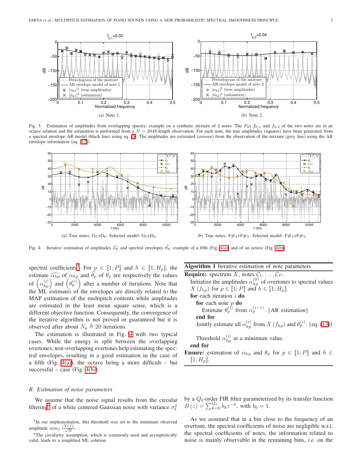

<span id="page-5-2"></span><span id="page-5-0"></span>Fig. 3. Estimation of amplitudes from overlapping spectra: example on a synthetic mixture of 2 notes. The  $F_0$ s  $f_{0,1}$  and  $f_{0,2}$  of the two notes are in an octave relation and the estimation is performed from a  $N = 2048$ -length observation. For each note, the true amplitudes (squares) have been generated from a spectral envelope AR model (black line) using eq. [\(3\)](#page-2-4). The amplitudes are estimated (crosses) from the observation of the mixture (grey line) using the AR envelope information (eq. [\(12\)](#page-4-3)).



<span id="page-5-5"></span>Fig. 4. Iterative estimation of amplitudes  $\widehat{\alpha_p}$  and spectral envelopes  $\widehat{\theta_p}$ : example of a fifth (Fig. [4\(a\)\)](#page-5-2) and of an octave (Fig. [4\(b\)\)](#page-5-3).

spectral coefficients<sup>[5](#page-5-4)</sup>. For  $p \in [\![1; P]\!]$  and  $h \in [\![1; H_p]\!]$ , the estimate  $\widehat{\alpha_{hp}}$  of  $\alpha_{hp}$  and  $\widehat{\theta}_p$  of  $\theta_p$  are respectively the values of  $\left(\alpha_{hp}^{(i)}\right)$  and  $\left(\theta_p^{(i)}\right)$  after a number of iterations. Note that the ML estimates of the envelopes are directly related to the MAP estimation of the multipitch contents while amplitudes are estimated in the least mean square sense, which is a different objective function. Consequently, the convergence of the iterative algorithm is not proved or guaranteed but it is observed after about  $N_{it} \triangleq 20$  iterations.

The estimation is illustrated in Fig. [4](#page-5-5) with two typical cases. While the energy is split between the overlapping overtones, non-overlapping overtones help estimating the spectral envelopes, resulting in a good estimation in the case of a fifth (Fig. [4\(a\)\)](#page-5-2), the octave being a more difficult – but successful – case (Fig.  $4(b)$ ).

#### *B. Estimation of noise parameters*

We assume that the noise signal results from the circular filtering<sup>[6](#page-5-6)</sup> of a white centered Gaussian noise with variance  $\sigma_b^2$ 

<span id="page-5-6"></span><sup>6</sup>The circularity assumption, which is commonly used and asymptotically valid, leads to a simplified ML solution.

#### <span id="page-5-3"></span>**Algorithm 1** Iterative estimation of note parameters

<span id="page-5-1"></span>**Require:** spectrum  $X$ , notes  $C_1, \ldots, C_P$ .

Initialize the amplitudes  $\alpha_{hp}^{(0)}$  of overtones to spectral values  $X(f_{hp})$  for  $p \in [\![1;P]\!]$  and  $h \in [\![1;H_p]\!]$ .

**for** each iteration i **do**

**for** each note p **do** Estimate  $\theta_p^{(i)}$  from  $\alpha_p^{(i-1)}$ . {AR estimation} **end for** Jointly estimate all  $\alpha_{hp}^{(i)}$  from  $X(f_{hp})$  and  $\theta_p^{(i)}$ . {eq. [\(13\)](#page-4-4)}

Threshold  $\alpha_{hp}^{(i)}$  at a minimum value. **end for Ensure:** estimation of  $\alpha_{hp}$  and  $\theta_p$  for  $p \in [1; P]$  and  $h \in$  $\llbracket 1; H_p \rrbracket.$ 

by a  $Q_b$ -order FIR filter parameterized by its transfer function  $B(z) = \sum_{k=0}^{Q_b} b_k z^{-k}$ , with  $b_0 = 1$ .

As we assumed that in a bin close to the frequency of an overtone, the spectral coefficients of noise are negligible w.r.t. the spectral coefficients of notes, the information related to noise is mainly observable in the remaining bins, *i.e.* on the

<span id="page-5-4"></span><sup>&</sup>lt;sup>5</sup>In our implementation, this threshold was set to the minimum observed amplitude  $\min_f \frac{|X(f)|}{\sqrt{N}}$ .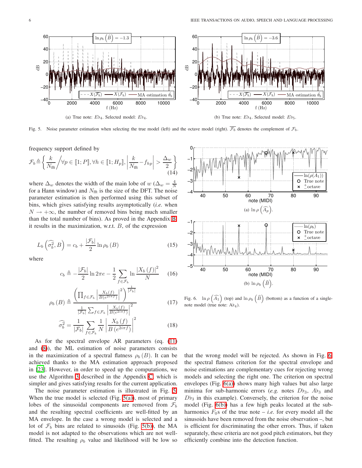<span id="page-6-3"></span>

<span id="page-6-2"></span>Fig. 5. Noise parameter estimation when selecting the true model (left) and the octave model (right).  $\overline{\mathcal{F}_b}$  denotes the complement of  $\mathcal{F}_b$ .

frequency support defined by

$$
\mathcal{F}_b \triangleq \left\{ \frac{k}{N_{\text{fft}}} \middle/ \forall p \in [\![ 1; P ]\!], \forall h \in [\![ 1; H_p ]\!], \left| \frac{k}{N_{\text{fft}}} - f_{hp} \right| > \frac{\Delta_w}{2} \right\}
$$
\n(14)

where  $\Delta_w$  denotes the width of the main lobe of  $w$  ( $\Delta_w = \frac{4}{N}$ for a Hann window) and  $N_{\text{fft}}$  is the size of the DFT. The noise parameter estimation is then performed using this subset of bins, which gives satisfying results asymptotically (*i.e.* when  $N \rightarrow +\infty$ , the number of removed bins being much smaller than the total number of bins). As proved in the Appendix [B,](#page-10-0) it results in the maximization, w.r.t. B, of the expression

$$
L_b\left(\widehat{\sigma_b^2}, B\right) = c_b + \frac{|\mathcal{F}_b|}{2} \ln \rho_b\left(B\right) \tag{15}
$$

where

<span id="page-6-7"></span>
$$
c_b \triangleq -\frac{|\mathcal{F}_b|}{2} \ln 2\pi e - \frac{1}{2} \sum_{f \in \mathcal{F}_b} \ln \frac{|X_b(f)|^2}{N} \quad (16)
$$

$$
\rho_b(B) \triangleq \frac{\left(\prod_{f \in \mathcal{F}_b} \left| \frac{X_b(f)}{B(e^{2i\pi f})} \right|^2\right)^{\frac{1}{|\mathcal{F}_b|}}}{\frac{1}{\sqrt{E}} \sum_{f \in \mathcal{F}_b} \left| \frac{X_b(f)}{B(e^{2i\pi f})} \right|^2} \tag{17}
$$

$$
\widehat{\sigma_b^2} = \frac{1}{|\mathcal{F}_b|} \sum_{f \in \mathcal{F}_b} \left| \frac{\frac{X_b(f)}{B(e^{2i\pi f})}}{\frac{X_b(f)}{B(e^{2i\pi f})}} \right|^2
$$
\n(18)

As for the spectral envelope AR parameters (eq. [\(11\)](#page-3-3) and [\(8\)](#page-3-4)), the ML estimation of noise parameters consists in the maximization of a spectral flatness  $\rho_h(B)$ . It can be achieved thanks to the MA estimation approach proposed in [\[23\]](#page-12-4). However, in order to speed up the computations, we use the Algorithm [3](#page-11-14) described in the Appendix [C,](#page-11-15) which is simpler and gives satisfying results for the current application.

The noise parameter estimation is illustrated in Fig. [5.](#page-6-2) When the true model is selected (Fig.  $5(a)$ ), most of primary lobes of the sinusoidal components are removed from  $\mathcal{F}_b$ and the resulting spectral coefficients are well-fitted by an MA envelope. In the case a wrong model is selected and a lot of  $\mathcal{F}_b$  bins are related to sinusoids (Fig. [5\(b\)\)](#page-6-4), the MA model is not adapted to the observations which are not wellfitted. The resulting  $\rho_b$  value and likelihood will be low so

<span id="page-6-4"></span><span id="page-6-1"></span><span id="page-6-0"></span>

<span id="page-6-8"></span><span id="page-6-6"></span><span id="page-6-5"></span>Fig. 6.  $\ln \rho \left( \widehat{A}_1 \right)$  (top) and  $\ln \rho_b \left( \widehat{B} \right)$  (bottom) as a function of a singlenote model (true note: A♭4).

that the wrong model will be rejected. As shown in Fig. [6,](#page-6-5) the spectral flatness criterion for the spectral envelope and noise estimations are complementary cues for rejecting wrong models and selecting the right one. The criterion on spectral envelopes (Fig. [6\(a\)\)](#page-6-1) shows many high values but also large minima for sub-harmonic errors (*e.g.* notes D♭3, A♭<sup>3</sup> and  $D<sub>b3</sub>$  in this example). Conversely, the criterion for the noise model (Fig. [6\(b\)\)](#page-6-6) has a few high peaks located at the subharmonics  $F_0$ s of the true note – *i.e.* for every model all the sinusoids have been removed from the noise observation –, but is efficient for discriminating the other errors. Thus, if taken separately, these criteria are not good pitch estimators, but they efficiently combine into the detection function.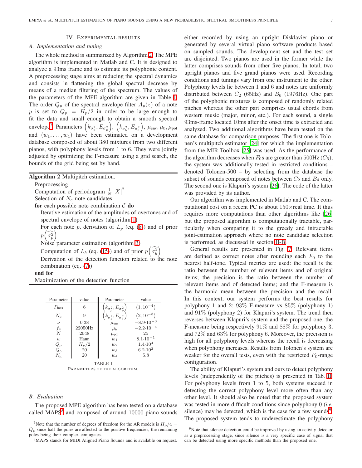#### IV. EXPERIMENTAL RESULTS

#### <span id="page-7-0"></span>*A. Implementation and tuning*

The whole method is summarized by Algorithm [2.](#page-7-1) The MPE algorithm is implemented in Matlab and C. It is designed to analyze a 93ms frame and to estimate its polyphonic content. A preprocessing stage aims at reducing the spectral dynamics and consists in flattening the global spectral decrease by means of a median filtering of the spectrum. The values of the parameters of the MPE algorithm are given in Table [I.](#page-7-2) The order  $Q_p$  of the spectral envelope filter  $A_p(z)$  of a note p is set to  $Q_p = H_p/2$  in order to be large enough to fit the data and small enough to obtain a smooth spectral envelope<sup>[7](#page-7-3)</sup>. Parameters  $\left(k_{\sigma_p^2}, \overline{E}_{\sigma_p^2}\right), \left(k_{\sigma_b^2}, E_{\sigma_b^2}\right)$ ),  $\mu_{env}, \mu_b, \mu_{pol}$ and  $(w_1, \ldots, w_4)$  have been estimated on a development database composed of about 380 mixtures from two different pianos, with polyphony levels from 1 to 6. They were jointly adjusted by optimizing the F-measure using a grid search, the bounds of the grid being set by hand.

<span id="page-7-1"></span>**Algorithm 2** Multipitch estimation.

Preprocessing

Computation of periodogram  $\frac{1}{N} |X|^2$ 

Selection of  $N_c$  note candidates

**for** each possible note combination C **do**

Iterative estimation of the amplitudes of overtones and of spectral envelope of notes (algorithm [1\)](#page-5-1)

For each note p, derivation of  $L_p$  (eq. [\(8\)](#page-3-4)) and of prior  $p\left(\widehat{\sigma_p^2}\right)$ 

Noise parameter estimation (algorithm [3\)](#page-11-14)

Computation of  $L_b$  (eq. [\(15\)](#page-6-7)) and of prior  $p\left(\widehat{\sigma_b^2}\right)$ 

Derivation of the detection function related to the note combination (eq. [\(7\)](#page-3-5))

#### **end for**

Maximization of the detection function

| Parameter        | value   | Parameter                                       | value                    |  |  |  |  |  |  |
|------------------|---------|-------------------------------------------------|--------------------------|--|--|--|--|--|--|
| $P_{\text{max}}$ | 6       | $k_{\sigma_p^2}, E_{\sigma_p^2}$                | $(1, 10^{-4})$           |  |  |  |  |  |  |
| $N_c$            | g       | $\left[ k_{\sigma_h^2}, E_{\sigma_h^2} \right]$ | $\left(2,10^{-3}\right)$ |  |  |  |  |  |  |
| $\nu$            | 0.38    | $\mu_{env}$                                     | $-8.9 \cdot 10^{-3}$     |  |  |  |  |  |  |
| $f_s$            | 22050Hz | $\mu_b$                                         | $-2.2 \cdot 10^{-4}$     |  |  |  |  |  |  |
| $\overline{N}$   | 2048    | $\mu_{\rm pol}$                                 | 25                       |  |  |  |  |  |  |
| w                | Hann    | $w_1$                                           | $8.1 \cdot 10^{-1}$      |  |  |  |  |  |  |
| $Q_p$            | $H_p/2$ | $w_2$                                           | $1.4 \cdot 10^{4}$       |  |  |  |  |  |  |
| $Q_b$            | 20      | $w_3$                                           | $6.2 \cdot 10^2$         |  |  |  |  |  |  |
| $N_{\rm{it}}$    | 20      | $w_4$                                           | 5.8                      |  |  |  |  |  |  |
| TABLE I          |         |                                                 |                          |  |  |  |  |  |  |

PARAMETERS OF THE ALGORITHM.

#### <span id="page-7-2"></span>*B. Evaluation*

The proposed MPE algorithm has been tested on a database called MAPS<sup>[8](#page-7-4)</sup> and composed of around 10000 piano sounds

<span id="page-7-4"></span><sup>8</sup>MAPS stands for MIDI Aligned Piano Sounds and is available on request.

either recorded by using an upright Disklavier piano or generated by several virtual piano software products based on sampled sounds. The development set and the test set are disjointed. Two pianos are used in the former while the latter comprises sounds from other five pianos. In total, two upright pianos and five grand pianos were used. Recording conditions and tunings vary from one instrument to the other. Polyphony levels lie between 1 and 6 and notes are uniformly distributed between  $C_2$  (65Hz) and  $B_6$  (1976Hz). One part of the polyphonic mixtures is composed of randomly related pitches whereas the other part comprises usual chords from western music (major, minor, etc.). For each sound, a single 93ms-frame located 10ms after the onset time is extracted and analyzed. Two additional algorithms have been tested on the same database for comparison purposes. The first one is Tolonen's multipitch estimator [\[24\]](#page-12-5) for which the implementation from the MIR Toolbox [\[25\]](#page-12-6) was used. As the performance of the algorithm decreases when  $F_0$ s are greater than 500Hz ( $C_5$ ), the system was additionally tested in restricted conditions – denoted Tolonen-500 – by selecting from the database the subset of sounds composed of notes between  $C_2$  and  $B_4$  only. The second one is Klapuri's system [\[26\]](#page-12-7). The code of the latter was provided by its author.

Our algorithm was implemented in Matlab and C. The computational cost on a recent PC is about  $150 \times$ real time. It thus requires more computations than other algorithms like [\[26\]](#page-12-7) but the proposed algorithm is computationally tractable, particularly when comparing it to the greedy and intractable joint-estimation approach where no note candidate selection is performed, as discussed in section [II-B.](#page-2-5)

General results are presented in Fig. [7.](#page-8-0) Relevant items are defined as correct notes after rounding each  $F_0$  to the nearest half-tone. Typical metrics are used: the recall is the ratio between the number of relevant items and of original items; the precision is the ratio between the number of relevant items and of detected items; and the F-measure is the harmonic mean between the precision and the recall. In this context, our system performs the best results for polyphony 1 and 2: 93% F-measure vs 85% (polyphony 1) and 91% (polyphony 2) for Klapuri's system. The trend then reverses between Klapuri's system and the proposed one, the F-measure being respectively 91% and 88% for polyphony 3, and 72% and 63% for polyphony 6. Moreover, the precision is high for all polyphony levels whereas the recall is decreasing when polyphony increases. Results from Tolonen's system are weaker for the overall tests, even with the restricted  $F_0$ -range configuration.

The ability of Klapuri's system and ours to detect polyphony levels (independently of the pitches) is presented in Tab. [II.](#page-8-1) For polyphony levels from 1 to 5, both systems succeed in detecting the correct polyphony level more often than any other level. It should also be noted that the proposed system was tested in more difficult conditions since polyphony 0 (*i.e.* silence) may be detected, which is the case for a few sounds<sup>[9](#page-7-5)</sup>. The proposed system tends to underestimate the polyphony

<span id="page-7-3"></span><sup>&</sup>lt;sup>7</sup>Note that the number of degrees of freedom for the AR models is  $H_p/4$  =  $Q_p$  since half the poles are affected to the positive frequencies, the remaining poles being their complex conjugates.

<span id="page-7-5"></span><sup>&</sup>lt;sup>9</sup>Note that silence detection could be improved by using an activity detector as a preprocessing stage, since silence is a very specific case of signal that can be detected using more specific methods than the proposed one.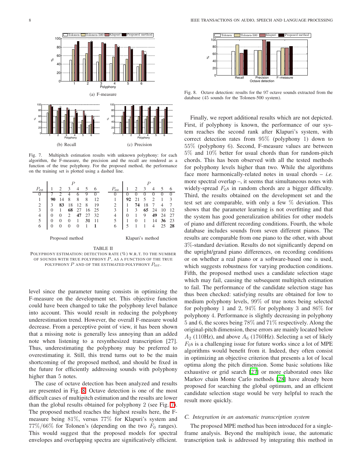

<span id="page-8-0"></span>Fig. 7. Multipitch estimation results with unknown polyphony: for each algorithm, the F-measure, the precision and the recall are rendered as a function of the true polyphony. For the proposed method, the performance on the training set is plotted using a dashed line.

| $P_{est}$       |    | 2  | 3              | 4        | 5  | 6                |  | $P_{est}$ |              | 2        | 3                        | 4             | 5              | 6  |
|-----------------|----|----|----------------|----------|----|------------------|--|-----------|--------------|----------|--------------------------|---------------|----------------|----|
| O               |    |    |                |          | 9  |                  |  |           | $\mathbf{0}$ |          |                          |               |                |    |
| 1               | 90 | 14 | 8              | 8        | 8  | 12               |  |           | 92           | 21       | $\overline{\phantom{1}}$ | $\mathcal{D}$ |                | 3  |
| $\overline{2}$  | 3  | 83 | 18             | 12       | 8  | 19               |  | 2         |              | 74       | 18                       | 7             | $\overline{4}$ | 7  |
| $\overline{3}$  | 0  |    | 68             | 27       | 16 | 25               |  | 3         | 1            | 3        | 65                       | 24            | 10             | 12 |
| $\overline{4}$  | 0  | 0  | 2              | 47       |    | 32               |  | 4         | $\Omega$     |          | 9                        | 49            | 24             | 27 |
| 5               | 0  | 0  | $\overline{0}$ | 1        | 31 | 11               |  | 5         | 1            | $\Omega$ |                          | 14            | 36             | 23 |
| 6               | 0  | 0  | $\theta$       | $\theta$ | 1  | 1                |  | 6         | 5            |          |                          | 4             | 25             | 28 |
|                 |    |    |                |          |    |                  |  |           |              |          |                          |               |                |    |
| Proposed method |    |    |                |          |    | Klapuri's method |  |           |              |          |                          |               |                |    |
| TABLE II        |    |    |                |          |    |                  |  |           |              |          |                          |               |                |    |

<span id="page-8-1"></span>

level since the parameter tuning consists in optimizing the F-measure on the development set. This objective function could have been changed to take the polyphony level balance into account. This would result in reducing the polyphony underestimation trend. However, the overall F-measure would decrease. From a perceptive point of view, it has been shown that a missing note is generally less annoying than an added note when listening to a resynthesized transcription [27]. Thus, underestimating the polyphony may be preferred to overestimating it. Still, this trend turns out to be the main shortcoming of the proposed method, and should be fixed in the future for efficiently addressing sounds with polyphony higher than 5 notes.

The case of octave detection has been analyzed and results are presented in Fig. [8.](#page-8-2) Octave detection is one of the most difficult cases of multipitch estimation and the results are lower than the global results obtained for polyphony 2 (see Fig. [7\)](#page-8-0). The proposed method reaches the highest results here, the Fmeasure being 81%, versus 77% for Klapuri's system and  $77\%/66\%$  for Tolonen's (depending on the two  $F_0$  ranges). This would suggest that the proposed models for spectral envelopes and overlapping spectra are significatively efficient.



<span id="page-8-2"></span>Fig. 8. Octave detection: results for the 97 octave sounds extracted from the database (45 sounds for the Tolonen-500 system).

Finally, we report additional results which are not depicted. First, if polyphony is known, the performance of our system reaches the second rank after Klapuri's system, with correct detection rates from 95% (polyphony 1) down to 55% (polyphony 6). Second, F-measure values are between 5% and 10% better for usual chords than for random-pitch chords. This has been observed with all the tested methods for polyphony levels higher than two. While the algorithms face more harmonically-related notes in usual chords – *i.e.* more spectral overlap –, it seems that simultaneous notes with widely-spread  $F_0$ s in random chords are a bigger difficulty. Third, the results obtained on the development set and the test set are comparable, with only a few  $\%$  deviation. This shows that the parameter learning is not overfitting and that the system has good generalization abilities for other models of piano and different recording conditions. Fourth, the whole database includes sounds from seven different pianos. The results are comparable from one piano to the other, with about 3%-standard deviation. Results do not significantly depend on the upright/grand piano differences, on recording conditions or on whether a real piano or a software-based one is used, which suggests robustness for varying production conditions. Fifth, the proposed method uses a candidate selection stage which may fail, causing the subsequent multipitch estimation to fail. The performance of the candidate selection stage has thus been checked: satisfying results are obtained for low to medium polyphony levels, 99% of true notes being selected for polyphony 1 and 2, 94% for polyphony 3 and 86% for polyphony 4. Performance is slightly decreasing in polyphony 5 and 6, the scores being 78% and 71% respectively. Along the original-pitch dimension, these errors are mainly located below  $A_2$  (110Hz), and above  $A_6$  (1760Hz). Selecting a set of likely  $F<sub>0</sub>$ s is a challenging issue for future works since a lot of MPE algorithms would benefit from it. Indeed, they often consist in optimizing an objective criterion that presents a lot of local optima along the pitch dimension. Some basic solutions like exhaustive or grid search [\[27\]](#page-12-8) or more elaborated ones like Markov chain Monte Carlo methods [\[28\]](#page-12-9) have already been proposed for searching the global optimum, and an efficient candidate selection stage would be very helpful to reach the result more quickly.

#### *C. Integration in an automatic transcription system*

The proposed MPE method has been introduced for a singleframe analysis. Beyond the multipitch issue, the automatic transcription task is addressed by integrating this method in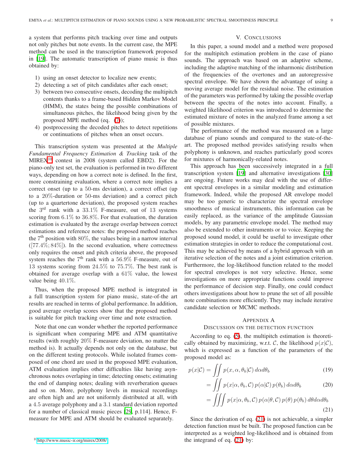a system that performs pitch tracking over time and outputs not only pitches but note events. In the current case, the MPE method can be used in the transcription framework proposed in [\[19\]](#page-12-0). The automatic transcription of piano music is thus obtained by:

- 1) using an onset detector to localize new events;
- 2) detecting a set of pitch candidates after each onset;
- 3) between two consecutive onsets, decoding the multipitch contents thanks to a frame-based Hidden Markov Model (HMM), the states being the possible combinations of simultaneous pitches, the likelihood being given by the proposed MPE method (eq. [\(7\)](#page-3-5));
- 4) postprocessing the decoded pitches to detect repetitions or continuations of pitches when an onset occurs.

This transcription system was presented at the *Multiple Fundamental Frequency Estimation & Tracking* task of the MIREX[10](#page-9-2) contest in 2008 (system called EBD2). For the piano-only test set, the evaluation is performed in two different ways, depending on how a correct note is defined. In the first, more constraining evaluation, where a correct note implies a correct onset (up to a 50-ms deviation), a correct offset (up to a 20%-duration or 50-ms deviation) and a correct pitch (up to a quartertone deviation), the proposed system reaches the  $3<sup>rd</sup>$  rank with a  $33.1\%$  F-measure, out of 13 systems scoring from 6.1% to 36.8%. For that evaluation, the duration estimation is evaluated by the average overlap between correct estimations and reference notes: the proposed method reaches the  $7<sup>th</sup>$  position with  $80\%$ , the values being in a narrow interval ([77.4%; 84%]). In the second evaluation, where correctness only requires the onset and pitch criteria above, the proposed system reaches the  $7<sup>th</sup>$  rank with a 56.9% F-measure, out of 13 systems scoring from 24.5% to 75.7%. The best rank is obtained for average overlap with a  $61\%$  value, the lowest value being 40.1%.

Thus, when the proposed MPE method is integrated in a full transcription system for piano music, state-of-the art results are reached in terms of global performance. In addition, good average overlap scores show that the proposed method is suitable for pitch tracking over time and note extraction.

<span id="page-9-2"></span>Note that one can wonder whether the reported performance is significant when comparing MPE and ATM quantitative results (with roughly 20% F-measure deviation, no matter the method is). It actually depends not only on the database, but on the different testing protocols. While isolated frames composed of one chord are used in the proposed MPE evaluation, ATM evaluation implies other difficulties like having asynchronous notes overlaping in time; detecting onsets; estimating the end of damping notes; dealing with reverberation queues and so on. More, polyphony levels in musical recordings are often high and are not uniformly distributed at all, with a 4.5 average polyphony and a 3.1 standard deviation reported for a number of classical music pieces [\[29,](#page-12-10) p.114]. Hence, Fmeasure for MPE and ATM should be evaluated separately.

#### V. CONCLUSIONS

<span id="page-9-0"></span>In this paper, a sound model and a method were proposed for the multipitch estimation problem in the case of piano sounds. The approach was based on an adaptive scheme, including the adaptive matching of the inharmonic distribution of the frequencies of the overtones and an autoregressive spectral envelope. We have shown the advantage of using a moving average model for the residual noise. The estimation of the parameters was performed by taking the possible overlap between the spectra of the notes into account. Finally, a weighted likelihood criterion was introduced to determine the estimated mixture of notes in the analyzed frame among a set of possible mixtures.

The performance of the method was measured on a large database of piano sounds and compared to the state-of-theart. The proposed method provides satisfying results when polyphony is unknown, and reaches particularly good scores for mixtures of harmonically-related notes.

This approach has been successively integrated in a full transcription system [\[19\]](#page-12-0) and alternative investigations [\[30\]](#page-12-11) are ongoing. Future works may deal with the use of different spectral envelopes in a similar modeling and estimation framework. Indeed, while the proposed AR envelope model may be too generic to characterize the spectral envelope smoothness of musical instruments, this information can be easily replaced, as the variance of the amplitude Gaussian models, by any parametric envelope model. The method may also be extended to other instruments or to voice. Keeping the proposed sound model, it could be useful to investigate other estimation strategies in order to reduce the computational cost. This may be achieved by means of a hybrid approach with an iterative selection of the notes and a joint estimation criterion. Furthermore, the log-likelihood function related to the model for spectral envelopes is not very selective. Hence, some investigations on more appropriate functions could improve the performance of decision step. Finally, one could conduct others investigations about how to prune the set of all possible note combinations more efficiently. They may include iterative candidate selection or MCMC methods.

#### APPENDIX A

#### DISCUSSION ON THE DETECTION FUNCTION

<span id="page-9-1"></span>According to eq. [\(5\)](#page-3-6), the multipitch estimation is theoretically obtained by maximizing, w.r.t. C, the likelihood  $p(x|\mathcal{C})$ , which is expressed as a function of the parameters of the proposed model as:

$$
p(x|\mathcal{C}) = \iint p(x, \alpha, \theta_b|\mathcal{C}) \, d\alpha d\theta_b \tag{19}
$$

$$
= \iint p(x|\alpha, \theta_b, \mathcal{C}) p(\alpha|\mathcal{C}) p(\theta_b) d\alpha d\theta_b \tag{20}
$$

<span id="page-9-3"></span>
$$
= \iiint p(x|\alpha, \theta_b, \mathcal{C}) p(\alpha|\theta, \mathcal{C}) p(\theta) p(\theta_b) d\theta d\alpha d\theta_b
$$
\n(21)

Since the derivation of eq. [\(21\)](#page-9-3) is not achievable, a simpler detection function must be built. The proposed function can be interpreted as a weighted log-likelihood and is obtained from the integrand of eq. [\(21\)](#page-9-3) by: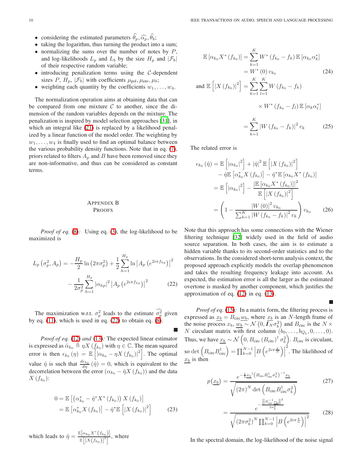- considering the estimated parameters  $\hat{\theta}_p, \hat{\alpha}_p, \hat{\theta}_b$ ;
- taking the logarithm, thus turning the product into a sum;
- normalizing the sums over the number of notes by  $P$ , and log-likelihoods  $L_p$  and  $L_b$  by the size  $H_p$  and  $|\mathcal{F}_b|$ of their respective random variable;
- $\bullet$  introducing penalization terms using the C-dependent sizes P,  $H_p$ ,  $|\mathcal{F}_b|$  with coefficients  $\mu_{pol}$ ,  $\mu_{env}$ ,  $\mu_b$ ;
- weighting each quantity by the coefficients  $w_1, \ldots, w_4$ .

The normalization operation aims at obtaining data that can be compared from one mixture  $C$  to another, since the dimension of the random variables depends on the mixture. The penalization is inspired by model selection approaches [\[31\]](#page-12-12), in which an integral like  $(21)$  is replaced by a likelihood penalized by a linear function of the model order. The weighting by  $w_1, \ldots, w_4$  is finally used to find an optimal balance between the various probability density functions. Note that in eq. [\(7\)](#page-3-5), priors related to filters  $A_p$  and B have been removed since they are non-informative, and thus can be considered as constant terms.

#### APPENDIX B PROOFS

<span id="page-10-0"></span>*Proof of eq.* [\(8\)](#page-3-4): Using eq. [\(3\)](#page-2-4), the log-likelihood to be maximized is

$$
L_p\left(\sigma_p^2, A_p\right) = -\frac{H_p}{2}\ln\left(2\pi\sigma_p^2\right) + \frac{1}{2}\sum_{h=1}^{H_p}\ln\left|A_p\left(e^{2i\pi f_{hp}}\right)\right|^2 - \frac{1}{2\sigma_p^2}\sum_{h=1}^{H_p}\left|\alpha_{hp}\right|^2\left|A_p\left(e^{2i\pi f_{hp}}\right)\right|^2\tag{22}
$$

The maximization w.r.t.  $\sigma_p^2$  leads to the estimate  $\sigma_p^2$  given by eq.  $(11)$ , which is used in eq.  $(22)$  to obtain eq.  $(8)$ .

*Proof of eq.* [\(12\)](#page-4-3) *and* [\(13\)](#page-4-4)*:* The expected linear estimator is expressed as  $\hat{\alpha}_{k_0} \triangleq \eta X(f_{k_0})$  with  $\eta \in \mathbb{C}$ . The mean squared error is then  $\epsilon_{k_0}(\eta) = \mathbb{E} \left[ |\alpha_{k_0} - \eta X(f_{k_0})|^2 \right]$ . The optimal value  $\hat{\eta}$  is such that  $\frac{d\epsilon_{k_0}}{d\eta}(\hat{\eta}) = 0$ , which is equivalent to the decorrelation between the error  $(\alpha_{k_0} - \hat{\eta} X(f_{k_0}))$  and the data  $X(f_{k_0})$ :

$$
0 = \mathbb{E}\left[\left(\alpha_{k_0}^* - \hat{\eta}^* X^* \left(f_{k_0}\right)\right) X \left(f_{k_0}\right)\right] = \mathbb{E}\left[\alpha_{k_0}^* X \left(f_{k_0}\right)\right] - \hat{\eta}^* \mathbb{E}\left[\left|X \left(f_{k_0}\right)\right|^2\right]
$$
(23)

 $\mathbb{E}\left[\alpha_{k_{0}}X^{*}\left(f_{k_{0}}\right)\right]=\sum^{K}% \mathbb{E}[\alpha_{k_{0}}X^{*}\left(f_{k_{0}}\right)]^{2}=\sum^{K}\mathbb{E}[\alpha_{k_{0}}\left(f_{k_{0}}\right)]^{2}$  $k=1$  $W^*$   $(f_{k_0} - f_k) \mathbb{E} [\alpha_{k_0} \alpha_k^*]$  $= W^* (0) v_{k_0}$ (24) and  $\mathbb{E}\left[\left|X\left(f_{k_0}\right)\right|^2\right] = \sum_{k=1}^K$  $k=1$  $\stackrel{K}{\blacktriangledown}$  $_{l=1}$  $W(f_{k_0} - f_k)$  $\times W^*$   $(f_{k_0} - f_l) \mathbb{E} [\alpha_k \alpha_l^*]$  $=\sum_{k=1}^{K}$  $|W(f_{k_0} - f_k)|^2$  $(25)$ 

 $k=1$ 

The related error is

L

$$
\epsilon_{k_{0}}(\hat{\eta}) = \mathbb{E}\left[|\alpha_{k_{0}}|^{2}\right] + |\hat{\eta}|^{2} \mathbb{E}\left[|X\left(f_{k_{0}}\right)|^{2}\right] \n- \hat{\eta} \mathbb{E}\left[\alpha_{k_{0}}^{*} X\left(f_{k_{0}}\right)\right] - \hat{\eta}^{*} \mathbb{E}\left[\alpha_{k_{0}} X^{*}\left(f_{k_{0}}\right)\right] \n= \mathbb{E}\left[|\alpha_{k_{0}}|^{2}\right] - \frac{|\mathbb{E}\left[\alpha_{k_{0}} X^{*}\left(f_{k_{0}}\right)\right]|^{2}}{\mathbb{E}\left[|X\left(f_{k_{0}}\right)|^{2}\right]} \n= \left(1 - \frac{|W\left(0\right)|^{2} v_{k_{0}}}{\sum_{k=1}^{K} |W\left(f_{k_{0}} - f_{k}\right)|^{2} v_{k}}\right) v_{k_{0}} \qquad (26)
$$

Note that this approach has some connections with the Wiener filtering technique [\[32\]](#page-12-13) widely used in the field of audio source separation. In both cases, the aim is to estimate a hidden variable thanks to its second-order statistics and to the observations. In the considered short-term analysis context, the proposed approach explicitly models the overlap phenomenon and takes the resulting frequency leakage into account. As expected, the estimation error is all the larger as the estimated overtone is masked by another component, which justifies the approximation of eq. [\(12\)](#page-4-3) in eq. [\(13\)](#page-4-4).

<span id="page-10-1"></span>*Proof of eq.* [\(15\)](#page-6-7): In a matrix form, the filtering process is expressed as  $x_b = B_{\text{circ}}w_b$ , where  $x_b$  is an N-length frame of the noise process  $x_b$ ,  $\overline{w_b} \sim \mathcal{N}\left(0, \overline{I_N} \sigma_b^2\right)$  and  $B_{\text{circ}}$  is the  $N \times$ N circulant matrix with first column  $(b_0, \ldots, b_{Q_b}, 0, \ldots, 0)$ . Thus, we have  $\underline{x_b} \sim \mathcal{N}\left(0, B_{\text{circ}}\left(B_{\text{circ}}\right)^{\dagger} \sigma_b^2\right)$ .  $B_{\text{circ}}$  is circulant, so det  $\left(B_{\text{circ}}B_{\text{circ}}^{\dagger}\right)=\prod_{k=0}^{N-1}$  $\left| B\left(e^{2i\pi\frac{k}{N}}\right)\right|$  $\alpha$ <sup>2</sup>. The likelihood of  $x_b$  is then

$$
p(\underline{x_b}) = \frac{e^{-\frac{1}{2}\underline{x_b}^{\dagger} \left(B_{\text{circ}} B_{\text{circ}}^{\dagger} \sigma_b^2\right)^{-1} \underline{x_b}}}{\sqrt{\left(2\pi\right)^N \det\left(B_{\text{circ}} B_{\text{circ}}^{\dagger} \sigma_b^2\right)}}
$$
(27)

$$
= \frac{e^{-\frac{\left\|B_{\text{circ}+x_b}^{-1}\right\|^2}{2\sigma_b^2}}}{\sqrt{\left(2\pi\sigma_b^2\right)^N \prod_{k=0}^{N-1} \left|B\left(e^{2i\pi\frac{k}{n}}\right)\right|^2}} \qquad (28)
$$

which leads to  $\hat{\eta} = \frac{\mathbb{E}[\alpha_{k_0}X^*(f_{k_0})]}{\mathbb{E}[\mathbb{E}[(X_{k_0-1}]^2]}$  $\mathbb{E} \left[ \left| X(f_{k_0}) \right|^2 \right]$ , where

In the spectral domain, the log-likelihood of the noise signal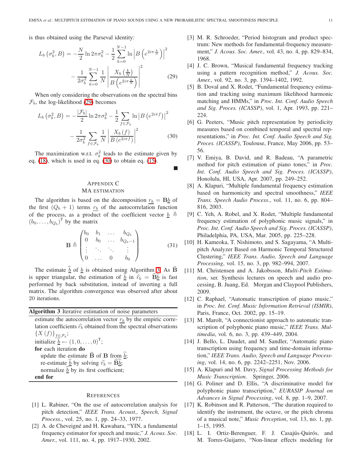is thus obtained using the Parseval identity:

$$
L_b(\sigma_b^2, B) = -\frac{N}{2} \ln 2\pi \sigma_b^2 - \frac{1}{2} \sum_{k=0}^{N-1} \ln \left| B\left(e^{2i\pi \frac{k}{N}}\right) \right|^2 - \frac{1}{2\sigma_b^2} \sum_{k=0}^{N-1} \frac{1}{N} \left| \frac{X_b\left(\frac{k}{N}\right)}{B\left(e^{2i\pi \frac{k}{N}}\right)} \right|^2
$$
(29)

When only considering the observations on the spectral bins  $\mathcal{F}_b$ , the log-likelihood [\(29\)](#page-11-16) becomes

$$
L_b\left(\sigma_b^2, B\right) = -\frac{|\mathcal{F}_b|}{2} \ln 2\pi \sigma_b^2 - \frac{1}{2} \sum_{f \in \mathcal{F}_b} \ln \left| B\left(e^{2i\pi f}\right) \right|^2
$$

$$
- \frac{1}{2\sigma_b^2} \sum_{f \in \mathcal{F}_b} \frac{1}{N} \left| \frac{X_b\left(f\right)}{B\left(e^{2i\pi f}\right)} \right|^2 \tag{30}
$$

The maximization w.r.t.  $\sigma_b^2$  leads to the estimate given by eq.  $(18)$ , which is used in eq.  $(30)$  to obtain eq.  $(15)$ .

#### APPENDIX C MA ESTIMATION

<span id="page-11-15"></span>The algorithm is based on the decomposition  $r_b = Bb$  of the first  $(Q_b + 1)$  terms  $r_b$  of the autocorrelation function of the process, as a product of the coefficient vector  $\underline{b} \triangleq$  $(b_0, \ldots, b_{Q_b})^{\text{T}}$  by the matrix

$$
\mathbf{B} \triangleq \begin{pmatrix} b_0 & b_1 & \dots & b_{Q_b} \\ 0 & b_0 & \dots & b_{Q_b - 1} \\ \vdots & \ddots & \ddots & \vdots \\ 0 & \dots & 0 & b_0 \end{pmatrix}
$$
(31)

The estimate  $\hat{b}$  of  $b$  is obtained using Algorithm [3.](#page-11-14) As  $\hat{B}$ is upper triangular, the estimation of  $\underline{b}$  in  $\hat{r}_b = B\underline{b}$  is fast performed by back substitution, instead of inverting a full matrix. The algorithm convergence was observed after about 20 iterations.

<span id="page-11-14"></span>**Algorithm 3** Iterative estimation of noise parameters

estimate the autocorrelation vector  $r<sub>b</sub>$  by the empiric correlation coefficients  $\hat{r}_b$  obtained from the spectral observations  $\{X(f)\}_{f\in\mathcal{F}_b};$ initialize  $\widehat{\underline{b}} \leftarrow (1, 0, \dots, 0)^{\mathrm{T}};$ **for** each iteration **do** update the estimate  $\overline{B}$  of  $\overline{B}$  from  $\overline{b}$ ; re-estimate <u>b</u> by solving  $\hat{r}_b = Bb$ ; normalize  $\underline{b}$  by its first coefficient; **end for**

#### **REFERENCES**

- <span id="page-11-0"></span>[1] L. Rabiner, "On the use of autocorrelation analysis for pitch detection," *IEEE Trans. Acoust., Speech, Signal Process.*, vol. 25, no. 1, pp. 24–33, 1977.
- <span id="page-11-1"></span>[2] A. de Cheveigné and H. Kawahara, "YIN, a fundamental frequency estimator for speech and music," *J. Acous. Soc. Amer.*, vol. 111, no. 4, pp. 1917–1930, 2002.
- <span id="page-11-2"></span>[3] M. R. Schroeder, "Period histogram and product spectrum: New methods for fundamental-frequency measurement," *J. Acous. Soc. Amer.*, vol. 43, no. 4, pp. 829–834, 1968.
- <span id="page-11-16"></span>[4] J. C. Brown, "Musical fundamental frequency tracking using a pattern recognition method," *J. Acous. Soc. Amer.*, vol. 92, no. 3, pp. 1394–1402, 1992.
- <span id="page-11-3"></span>[5] B. Doval and X. Rodet, "Fundamental frequency estimation and tracking using maximum likelihood harmonic matching and HMMs," in *Proc. Int. Conf. Audio Speech and Sig. Proces. (ICASSP)*, vol. 1, Apr. 1993, pp. 221– 224.
- <span id="page-11-17"></span><span id="page-11-4"></span>[6] G. Peeters, "Music pitch representation by periodicity measures based on combined temporal and spectral representations," in *Proc. Int. Conf. Audio Speech and Sig. Proces. (ICASSP)*, Toulouse, France, May 2006, pp. 53– 56.
- <span id="page-11-5"></span>[7] V. Emiya, B. David, and R. Badeau, "A parametric method for pitch estimation of piano tones," in *Proc. Int. Conf. Audio Speech and Sig. Proces. (ICASSP)*, Honolulu, HI, USA, Apr. 2007, pp. 249–252.
- <span id="page-11-6"></span>[8] A. Klapuri, "Multiple fundamental frequency estimation based on harmonicity and spectral smoothness," *IEEE Trans. Speech Audio Process.*, vol. 11, no. 6, pp. 804– 816, 2003.
- [9] C. Yeh, A. Robel, and X. Rodet, "Multiple fundamental frequency estimation of polyphonic music signals," in *Proc. Int. Conf. Audio Speech and Sig. Proces. (ICASSP)*, Philadelphia, PA, USA, Mar. 2005, pp. 225–228.
- <span id="page-11-11"></span>[10] H. Kameoka, T. Nishimoto, and S. Sagayama, "A Multipitch Analyzer Based on Harmonic Temporal Structured Clustering," *IEEE Trans. Audio, Speech and Language Processing*, vol. 15, no. 3, pp. 982–994, 2007.
- <span id="page-11-7"></span>[11] M. Christensen and A. Jakobsson, *Multi-Pitch Estimation*, ser. Synthesis lectures on speech and audio processing, B. Juang, Ed. Morgan and Claypool Publishers, 2009.
- <span id="page-11-8"></span>[12] C. Raphael, "Automatic transcription of piano music," in *Proc. Int. Conf. Music Information Retrieval (ISMIR)*, Paris, France, Oct. 2002, pp. 15–19.
- [13] M. Marolt, "A connectionist approach to automatic transcription of polyphonic piano music," *IEEE Trans. Multimedia*, vol. 6, no. 3, pp. 439–449, 2004.
- <span id="page-11-12"></span>[14] J. Bello, L. Daudet, and M. Sandler, "Automatic piano transcription using frequency and time-domain information," *IEEE Trans. Audio, Speech and Language Processing*, vol. 14, no. 6, pp. 2242–2251, Nov. 2006.
- [15] A. Klapuri and M. Davy, *Signal Processing Methods for Music Transcription*. Springer, 2006.
- <span id="page-11-9"></span>[16] G. Poliner and D. Ellis, "A discriminative model for polyphonic piano transcription," *EURASIP Journal on Advances in Signal Processing*, vol. 8, pp. 1–9, 2007.
- <span id="page-11-10"></span>[17] K. Robinson and R. Patterson, "The duration required to identify the instrument, the octave, or the pitch chroma of a musical note," *Music Perception*, vol. 13, no. 1, pp. 1–15, 1995.
- <span id="page-11-13"></span>[18] L. I. Ortiz-Berenguer, F. J. Casajús-Quirós, and M. Torres-Guijarro, "Non-linear effects modeling for